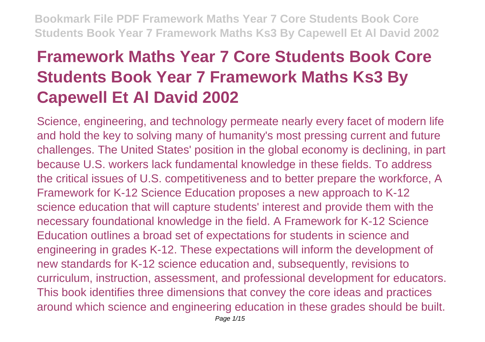# **Framework Maths Year 7 Core Students Book Core Students Book Year 7 Framework Maths Ks3 By Capewell Et Al David 2002**

Science, engineering, and technology permeate nearly every facet of modern life and hold the key to solving many of humanity's most pressing current and future challenges. The United States' position in the global economy is declining, in part because U.S. workers lack fundamental knowledge in these fields. To address the critical issues of U.S. competitiveness and to better prepare the workforce, A Framework for K-12 Science Education proposes a new approach to K-12 science education that will capture students' interest and provide them with the necessary foundational knowledge in the field. A Framework for K-12 Science Education outlines a broad set of expectations for students in science and engineering in grades K-12. These expectations will inform the development of new standards for K-12 science education and, subsequently, revisions to curriculum, instruction, assessment, and professional development for educators. This book identifies three dimensions that convey the core ideas and practices around which science and engineering education in these grades should be built.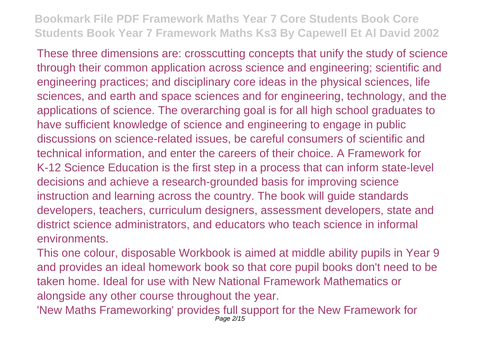These three dimensions are: crosscutting concepts that unify the study of science through their common application across science and engineering; scientific and engineering practices; and disciplinary core ideas in the physical sciences, life sciences, and earth and space sciences and for engineering, technology, and the applications of science. The overarching goal is for all high school graduates to have sufficient knowledge of science and engineering to engage in public discussions on science-related issues, be careful consumers of scientific and technical information, and enter the careers of their choice. A Framework for K-12 Science Education is the first step in a process that can inform state-level decisions and achieve a research-grounded basis for improving science instruction and learning across the country. The book will guide standards developers, teachers, curriculum designers, assessment developers, state and district science administrators, and educators who teach science in informal environments.

This one colour, disposable Workbook is aimed at middle ability pupils in Year 9 and provides an ideal homework book so that core pupil books don't need to be taken home. Ideal for use with New National Framework Mathematics or alongside any other course throughout the year.

'New Maths Frameworking' provides full support for the New Framework for Page 2/15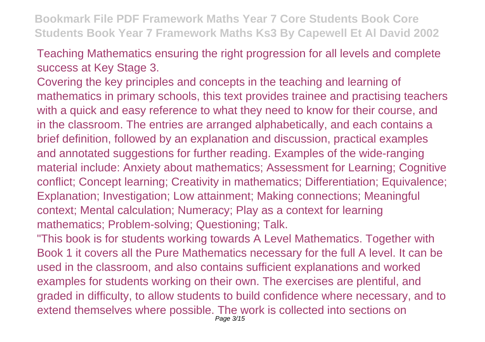Teaching Mathematics ensuring the right progression for all levels and complete success at Key Stage 3.

Covering the key principles and concepts in the teaching and learning of mathematics in primary schools, this text provides trainee and practising teachers with a quick and easy reference to what they need to know for their course, and in the classroom. The entries are arranged alphabetically, and each contains a brief definition, followed by an explanation and discussion, practical examples and annotated suggestions for further reading. Examples of the wide-ranging material include: Anxiety about mathematics; Assessment for Learning; Cognitive conflict; Concept learning; Creativity in mathematics; Differentiation; Equivalence; Explanation; Investigation; Low attainment; Making connections; Meaningful context; Mental calculation; Numeracy; Play as a context for learning mathematics; Problem-solving; Questioning; Talk.

"This book is for students working towards A Level Mathematics. Together with Book 1 it covers all the Pure Mathematics necessary for the full A level. It can be used in the classroom, and also contains sufficient explanations and worked examples for students working on their own. The exercises are plentiful, and graded in difficulty, to allow students to build confidence where necessary, and to extend themselves where possible. The work is collected into sections on Page 3/15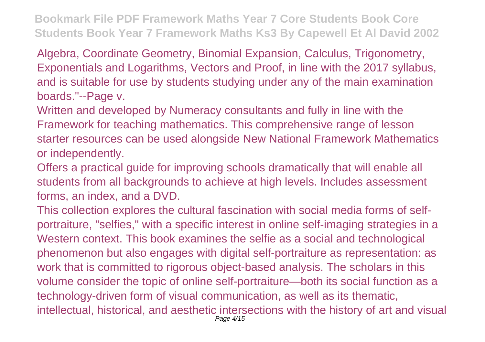Algebra, Coordinate Geometry, Binomial Expansion, Calculus, Trigonometry, Exponentials and Logarithms, Vectors and Proof, in line with the 2017 syllabus, and is suitable for use by students studying under any of the main examination boards."--Page v.

Written and developed by Numeracy consultants and fully in line with the Framework for teaching mathematics. This comprehensive range of lesson starter resources can be used alongside New National Framework Mathematics or independently.

Offers a practical guide for improving schools dramatically that will enable all students from all backgrounds to achieve at high levels. Includes assessment forms, an index, and a DVD.

This collection explores the cultural fascination with social media forms of selfportraiture, "selfies," with a specific interest in online self-imaging strategies in a Western context. This book examines the selfie as a social and technological phenomenon but also engages with digital self-portraiture as representation: as work that is committed to rigorous object-based analysis. The scholars in this volume consider the topic of online self-portraiture—both its social function as a technology-driven form of visual communication, as well as its thematic, intellectual, historical, and aesthetic intersections with the history of art and visual Page 4/15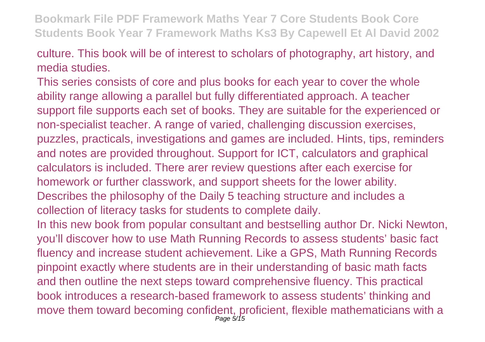culture. This book will be of interest to scholars of photography, art history, and media studies.

This series consists of core and plus books for each year to cover the whole ability range allowing a parallel but fully differentiated approach. A teacher support file supports each set of books. They are suitable for the experienced or non-specialist teacher. A range of varied, challenging discussion exercises, puzzles, practicals, investigations and games are included. Hints, tips, reminders and notes are provided throughout. Support for ICT, calculators and graphical calculators is included. There arer review questions after each exercise for homework or further classwork, and support sheets for the lower ability. Describes the philosophy of the Daily 5 teaching structure and includes a collection of literacy tasks for students to complete daily.

In this new book from popular consultant and bestselling author Dr. Nicki Newton, you'll discover how to use Math Running Records to assess students' basic fact fluency and increase student achievement. Like a GPS, Math Running Records pinpoint exactly where students are in their understanding of basic math facts and then outline the next steps toward comprehensive fluency. This practical book introduces a research-based framework to assess students' thinking and move them toward becoming confident, proficient, flexible mathematicians with a Page 5/15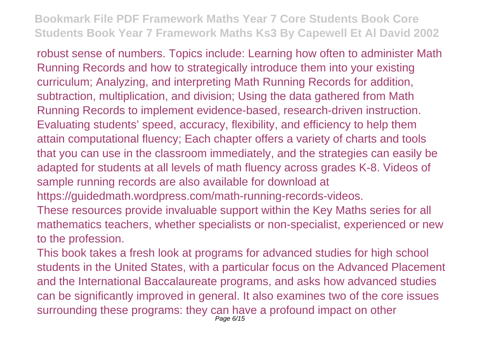robust sense of numbers. Topics include: Learning how often to administer Math Running Records and how to strategically introduce them into your existing curriculum; Analyzing, and interpreting Math Running Records for addition, subtraction, multiplication, and division; Using the data gathered from Math Running Records to implement evidence-based, research-driven instruction. Evaluating students' speed, accuracy, flexibility, and efficiency to help them attain computational fluency; Each chapter offers a variety of charts and tools that you can use in the classroom immediately, and the strategies can easily be adapted for students at all levels of math fluency across grades K-8. Videos of sample running records are also available for download at

https://guidedmath.wordpress.com/math-running-records-videos.

These resources provide invaluable support within the Key Maths series for all mathematics teachers, whether specialists or non-specialist, experienced or new to the profession.

This book takes a fresh look at programs for advanced studies for high school students in the United States, with a particular focus on the Advanced Placement and the International Baccalaureate programs, and asks how advanced studies can be significantly improved in general. It also examines two of the core issues surrounding these programs: they can have a profound impact on other Page 6/15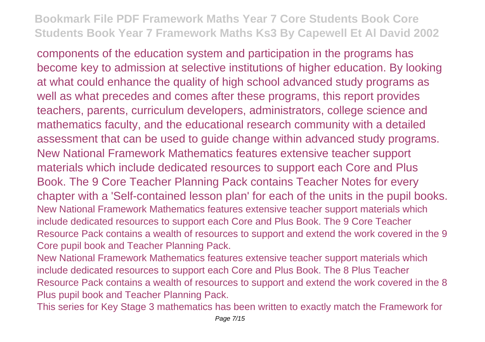components of the education system and participation in the programs has become key to admission at selective institutions of higher education. By looking at what could enhance the quality of high school advanced study programs as well as what precedes and comes after these programs, this report provides teachers, parents, curriculum developers, administrators, college science and mathematics faculty, and the educational research community with a detailed assessment that can be used to guide change within advanced study programs. New National Framework Mathematics features extensive teacher support materials which include dedicated resources to support each Core and Plus Book. The 9 Core Teacher Planning Pack contains Teacher Notes for every chapter with a 'Self-contained lesson plan' for each of the units in the pupil books. New National Framework Mathematics features extensive teacher support materials which include dedicated resources to support each Core and Plus Book. The 9 Core Teacher Resource Pack contains a wealth of resources to support and extend the work covered in the 9 Core pupil book and Teacher Planning Pack.

New National Framework Mathematics features extensive teacher support materials which include dedicated resources to support each Core and Plus Book. The 8 Plus Teacher Resource Pack contains a wealth of resources to support and extend the work covered in the 8 Plus pupil book and Teacher Planning Pack.

This series for Key Stage 3 mathematics has been written to exactly match the Framework for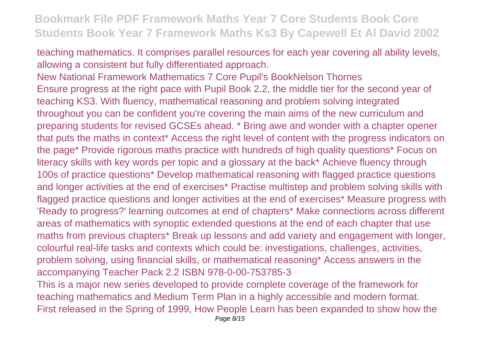teaching mathematics. It comprises parallel resources for each year covering all ability levels, allowing a consistent but fully differentiated approach.

New National Framework Mathematics 7 Core Pupil's BookNelson Thornes Ensure progress at the right pace with Pupil Book 2.2, the middle tier for the second year of teaching KS3. With fluency, mathematical reasoning and problem solving integrated throughout you can be confident you're covering the main aims of the new curriculum and preparing students for revised GCSEs ahead. \* Bring awe and wonder with a chapter opener that puts the maths in context\* Access the right level of content with the progress indicators on the page\* Provide rigorous maths practice with hundreds of high quality questions\* Focus on literacy skills with key words per topic and a glossary at the back\* Achieve fluency through 100s of practice questions\* Develop mathematical reasoning with flagged practice questions and longer activities at the end of exercises\* Practise multistep and problem solving skills with flagged practice questions and longer activities at the end of exercises\* Measure progress with 'Ready to progress?' learning outcomes at end of chapters\* Make connections across different areas of mathematics with synoptic extended questions at the end of each chapter that use maths from previous chapters\* Break up lessons and add variety and engagement with longer, colourful real-life tasks and contexts which could be: investigations, challenges, activities, problem solving, using financial skills, or mathematical reasoning\* Access answers in the accompanying Teacher Pack 2.2 ISBN 978-0-00-753785-3

This is a major new series developed to provide complete coverage of the framework for teaching mathematics and Medium Term Plan in a highly accessible and modern format. First released in the Spring of 1999, How People Learn has been expanded to show how the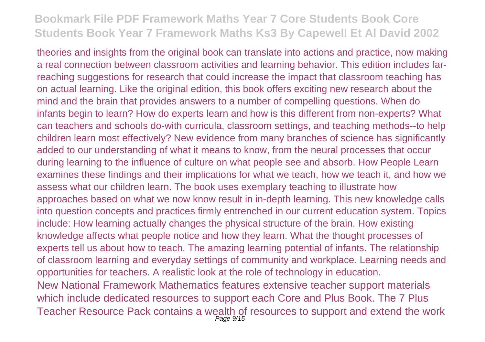theories and insights from the original book can translate into actions and practice, now making a real connection between classroom activities and learning behavior. This edition includes farreaching suggestions for research that could increase the impact that classroom teaching has on actual learning. Like the original edition, this book offers exciting new research about the mind and the brain that provides answers to a number of compelling questions. When do infants begin to learn? How do experts learn and how is this different from non-experts? What can teachers and schools do-with curricula, classroom settings, and teaching methods--to help children learn most effectively? New evidence from many branches of science has significantly added to our understanding of what it means to know, from the neural processes that occur during learning to the influence of culture on what people see and absorb. How People Learn examines these findings and their implications for what we teach, how we teach it, and how we assess what our children learn. The book uses exemplary teaching to illustrate how approaches based on what we now know result in in-depth learning. This new knowledge calls into question concepts and practices firmly entrenched in our current education system. Topics include: How learning actually changes the physical structure of the brain. How existing knowledge affects what people notice and how they learn. What the thought processes of experts tell us about how to teach. The amazing learning potential of infants. The relationship of classroom learning and everyday settings of community and workplace. Learning needs and opportunities for teachers. A realistic look at the role of technology in education. New National Framework Mathematics features extensive teacher support materials which include dedicated resources to support each Core and Plus Book. The 7 Plus Teacher Resource Pack contains a wealth of resources to support and extend the work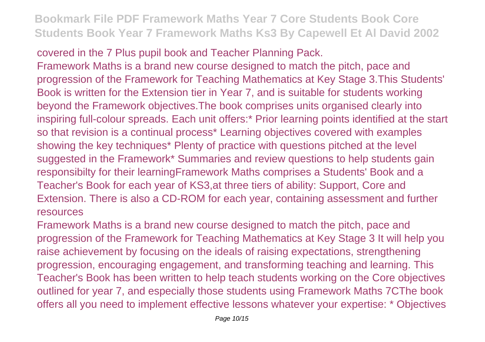covered in the 7 Plus pupil book and Teacher Planning Pack.

Framework Maths is a brand new course designed to match the pitch, pace and progression of the Framework for Teaching Mathematics at Key Stage 3.This Students' Book is written for the Extension tier in Year 7, and is suitable for students working beyond the Framework objectives.The book comprises units organised clearly into inspiring full-colour spreads. Each unit offers:\* Prior learning points identified at the start so that revision is a continual process\* Learning objectives covered with examples showing the key techniques\* Plenty of practice with questions pitched at the level suggested in the Framework\* Summaries and review questions to help students gain responsibilty for their learningFramework Maths comprises a Students' Book and a Teacher's Book for each year of KS3,at three tiers of ability: Support, Core and Extension. There is also a CD-ROM for each year, containing assessment and further resources

Framework Maths is a brand new course designed to match the pitch, pace and progression of the Framework for Teaching Mathematics at Key Stage 3 It will help you raise achievement by focusing on the ideals of raising expectations, strengthening progression, encouraging engagement, and transforming teaching and learning. This Teacher's Book has been written to help teach students working on the Core objectives outlined for year 7, and especially those students using Framework Maths 7CThe book offers all you need to implement effective lessons whatever your expertise: \* Objectives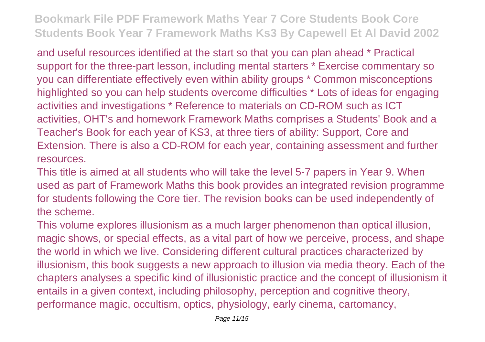and useful resources identified at the start so that you can plan ahead \* Practical support for the three-part lesson, including mental starters \* Exercise commentary so you can differentiate effectively even within ability groups \* Common misconceptions highlighted so you can help students overcome difficulties \* Lots of ideas for engaging activities and investigations \* Reference to materials on CD-ROM such as ICT activities, OHT's and homework Framework Maths comprises a Students' Book and a Teacher's Book for each year of KS3, at three tiers of ability: Support, Core and Extension. There is also a CD-ROM for each year, containing assessment and further resources.

This title is aimed at all students who will take the level 5-7 papers in Year 9. When used as part of Framework Maths this book provides an integrated revision programme for students following the Core tier. The revision books can be used independently of the scheme.

This volume explores illusionism as a much larger phenomenon than optical illusion, magic shows, or special effects, as a vital part of how we perceive, process, and shape the world in which we live. Considering different cultural practices characterized by illusionism, this book suggests a new approach to illusion via media theory. Each of the chapters analyses a specific kind of illusionistic practice and the concept of illusionism it entails in a given context, including philosophy, perception and cognitive theory, performance magic, occultism, optics, physiology, early cinema, cartomancy,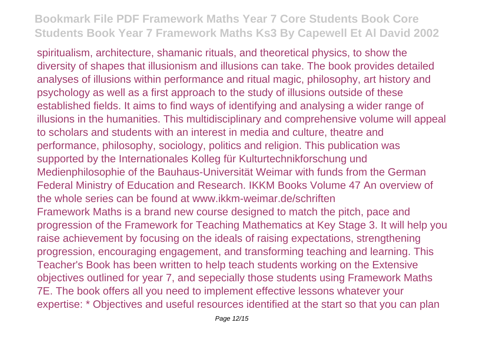spiritualism, architecture, shamanic rituals, and theoretical physics, to show the diversity of shapes that illusionism and illusions can take. The book provides detailed analyses of illusions within performance and ritual magic, philosophy, art history and psychology as well as a first approach to the study of illusions outside of these established fields. It aims to find ways of identifying and analysing a wider range of illusions in the humanities. This multidisciplinary and comprehensive volume will appeal to scholars and students with an interest in media and culture, theatre and performance, philosophy, sociology, politics and religion. This publication was supported by the Internationales Kolleg für Kulturtechnikforschung und Medienphilosophie of the Bauhaus-Universität Weimar with funds from the German Federal Ministry of Education and Research. IKKM Books Volume 47 An overview of the whole series can be found at www.jkkm-weimar.de/schriften Framework Maths is a brand new course designed to match the pitch, pace and progression of the Framework for Teaching Mathematics at Key Stage 3. It will help you raise achievement by focusing on the ideals of raising expectations, strengthening progression, encouraging engagement, and transforming teaching and learning. This Teacher's Book has been written to help teach students working on the Extensive objectives outlined for year 7, and sepecially those students using Framework Maths 7E. The book offers all you need to implement effective lessons whatever your expertise: \* Objectives and useful resources identified at the start so that you can plan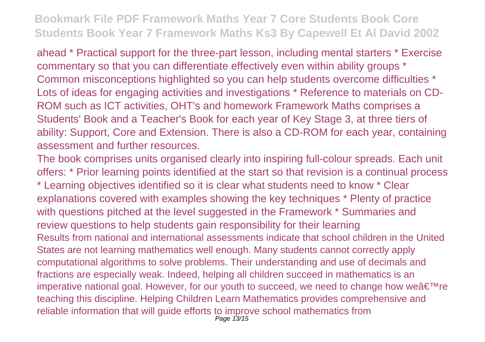ahead \* Practical support for the three-part lesson, including mental starters \* Exercise commentary so that you can differentiate effectively even within ability groups \* Common misconceptions highlighted so you can help students overcome difficulties \* Lots of ideas for engaging activities and investigations \* Reference to materials on CD-ROM such as ICT activities, OHT's and homework Framework Maths comprises a Students' Book and a Teacher's Book for each year of Key Stage 3, at three tiers of ability: Support, Core and Extension. There is also a CD-ROM for each year, containing assessment and further resources.

The book comprises units organised clearly into inspiring full-colour spreads. Each unit offers: \* Prior learning points identified at the start so that revision is a continual process \* Learning objectives identified so it is clear what students need to know \* Clear explanations covered with examples showing the key techniques \* Plenty of practice with questions pitched at the level suggested in the Framework \* Summaries and review questions to help students gain responsibility for their learning Results from national and international assessments indicate that school children in the United States are not learning mathematics well enough. Many students cannot correctly apply computational algorithms to solve problems. Their understanding and use of decimals and fractions are especially weak. Indeed, helping all children succeed in mathematics is an imperative national goal. However, for our youth to succeed, we need to change how we  $\hat{a} \in \mathbb{N}$  re teaching this discipline. Helping Children Learn Mathematics provides comprehensive and reliable information that will guide efforts to improve school mathematics from Page 13/15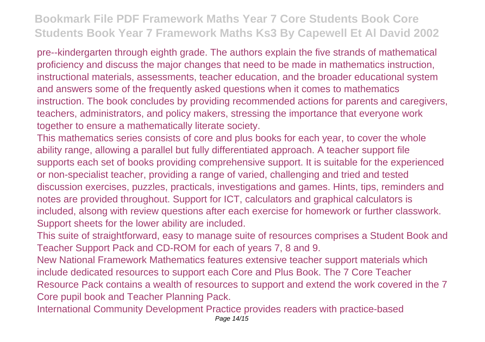pre--kindergarten through eighth grade. The authors explain the five strands of mathematical proficiency and discuss the major changes that need to be made in mathematics instruction, instructional materials, assessments, teacher education, and the broader educational system and answers some of the frequently asked questions when it comes to mathematics instruction. The book concludes by providing recommended actions for parents and caregivers, teachers, administrators, and policy makers, stressing the importance that everyone work together to ensure a mathematically literate society.

This mathematics series consists of core and plus books for each year, to cover the whole ability range, allowing a parallel but fully differentiated approach. A teacher support file supports each set of books providing comprehensive support. It is suitable for the experienced or non-specialist teacher, providing a range of varied, challenging and tried and tested discussion exercises, puzzles, practicals, investigations and games. Hints, tips, reminders and notes are provided throughout. Support for ICT, calculators and graphical calculators is included, alsong with review questions after each exercise for homework or further classwork. Support sheets for the lower ability are included.

This suite of straightforward, easy to manage suite of resources comprises a Student Book and Teacher Support Pack and CD-ROM for each of years 7, 8 and 9.

New National Framework Mathematics features extensive teacher support materials which include dedicated resources to support each Core and Plus Book. The 7 Core Teacher Resource Pack contains a wealth of resources to support and extend the work covered in the 7 Core pupil book and Teacher Planning Pack.

International Community Development Practice provides readers with practice-based